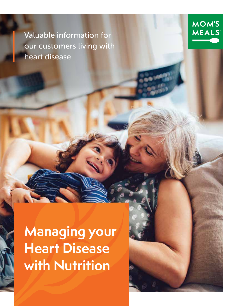Valuable information for our customers living with heart disease

**Managing your Heart Disease with Nutrition**

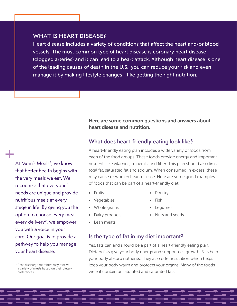#### **WHAT IS HEART DISEASE?**

Heart disease includes a variety of conditions that affect the heart and/or blood vessels. The most common type of heart disease is coronary heart disease (clogged arteries) and it can lead to a heart attack. Although heart disease is one of the leading causes of death in the U.S., you can reduce your risk and even manage it by making lifestyle changes - like getting the right nutrition.

#### Here are some common questions and answers about heart disease and nutrition.

#### **What does heart-friendly eating look like?**

A heart-friendly eating plan includes a wide variety of foods from each of the food groups. These foods provide energy and important nutrients like vitamins, minerals, and fiber. This plan should also limit total fat, saturated fat and sodium. When consumed in excess, these may cause or worsen heart disease. Here are some good examples of foods that can be part of a heart-friendly diet:

• Fruits

• Poultry

- Vegetables
- Whole grains
- Dairy products
- . Lean meats
- Fish
- Legumes
- Nuts and seeds
- **Is the type of fat in my diet important?**

Yes, fats can and should be a part of a heart-friendly eating plan. Dietary fats give your body energy and support cell growth. Fats help your body absorb nutrients. They also offer insulation which helps keep your body warm and protects your organs. Many of the foods we eat contain unsaturated and saturated fats.

At Mom's Meals®, we know that better health begins with the very meals we eat. We recognize that everyone's needs are unique and provide nutritious meals at every stage in life. By giving you the option to choose every meal, every delivery\*, we empower you with a voice in your care. Our goal is to provide a pathway to help you manage your heart disease. +

<sup>\*</sup> Post-discharge members may receive a variety of meals based on their dietary preferences.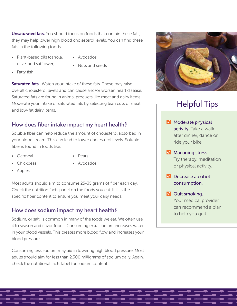**Unsaturated fats.** You should focus on foods that contain these fats, they may help lower high blood cholesterol levels. You can find these fats in the following foods:

- Plant-based oils (canola, olive, and safflower)
- Avocados
- 
- Nuts and seeds

• Fatty fish

Saturated fats. Watch your intake of these fats. These may raise overall cholesterol levels and can cause and/or worsen heart disease. Saturated fats are found in animal products like meat and dairy items. Moderate your intake of saturated fats by selecting lean cuts of meat and low-fat dairy items.

## **How does fiber intake impact my heart health?**

Soluble fiber can help reduce the amount of cholesterol absorbed in your bloodstream. This can lead to lower cholesterol levels. Soluble fiber is found in foods like:

• Oatmeal

• Pears

• Chickpeas

- 
- 
- Apples

• Avocados

Most adults should aim to consume 25-35 grams of fiber each day. Check the nutrition facts panel on the foods you eat. It lists the specific fiber content to ensure you meet your daily needs.

## **How does sodium impact my heart health?**

Sodium, or salt, is common in many of the foods we eat. We often use it to season and flavor foods. Consuming extra sodium increases water in your blood vessels. This creates more blood flow and increases your blood pressure.

Consuming less sodium may aid in lowering high blood pressure. Most adults should aim for less than 2,300 milligrams of sodium daily. Again, check the nutritional facts label for sodium content.



# Helpful Tips

- **Moderate physical** activity. Take a walk after dinner, dance or ride your bike.
- **Managing stress.** Try therapy, meditation or physical activity.
- **V** Decrease alcohol consumption.
- **V** Quit smoking. Your medical provider can recommend a plan to help you quit.